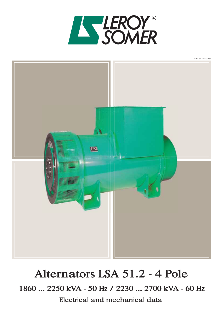



# Alternators LSA 51.2 - 4 Pole

1860 ... 2250 kVA - 50 Hz / 2230 ... 2700 kVA - 60 Hz

Electrical and mechanical data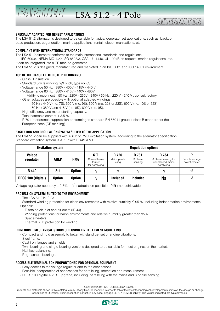LSA 51.2 - 4 Pole

## ALTERMAT

#### **SPECIALLY ADAPTED FOR GENSET APPLICATIONS**

 $\left| \frac{p}{\Lambda} \right| \left| \frac{p}{\Lambda} \right| \left| \frac{p}{\Lambda} \right| \left| \frac{p}{\Lambda} \right| \left| \frac{p}{\Lambda} \right| \left| \frac{p}{\Lambda} \right| \left| \frac{p}{\Lambda} \right| \left| \frac{p}{\Lambda} \right| \left| \frac{p}{\Lambda} \right| \left| \frac{p}{\Lambda} \right| \left| \frac{p}{\Lambda} \right| \left| \frac{p}{\Lambda} \right| \left| \frac{p}{\Lambda} \right| \left| \frac{p}{\Lambda} \right| \left| \frac{p}{\Lambda} \right| \left| \frac{p}{\Lambda$ 

The LSA 51.2 alternator is designed to be suitable for typical generator set applications, such as: backup, base production, cogeneration, marine applications, rental, telecommunications, etc.

#### **COMPLIANT WITH INTERNATIONAL STANDARDS**

The LSA 51.2 alternator conforms to the main international standards and regulations:

 IEC 60034, NEMA MG 1.22, ISO 8528/3, CSA, UL 1446, UL 1004B on request, marine regulations, etc. It can be integrated into a CE marked generator.

The LSA 51.2 is designed, manufactured and marketed in an ISO 9001 and ISO 14001 environment.

#### **TOP OF THE RANGE ELECTRICAL PERFORMANCE**

- Class H insulation.
- Standard 6-wire winding, 2/3 pitch, type no. 6S.
- Voltage range 50 Hz : 380V 400V 415V 440 V.
- Voltage range 60 Hz : 380V 416V 440V 480V.
- Ability to reconnect : 50 Hz : 220V 230V 240V / 60 Hz : 220 V 240 V : consult factory. - Other voltages are possible with optional adapted windings :
	- 50 Hz : 440 V (no. 7S), 500 V (no. 9S), 600 V (no. 22S or 23S), 690 V (no. 10S or 52S)
	- 60 Hz : 380 V and 416 V (no. 8S), 600 V (no. 9S).
- High efficiency and motor starting capacity.
- Total harmonic content < 3,5 %.
- R 791 interference suppression conforming to standard EN 55011 group 1 class B standard for the European zone (CE marking).

#### **EXCITATION AND REGULATION SYSTEM SUITED TO THE APPLICATION**

The LSA 51.2 can be supplied with AREP or PMG excitation system, according to the alternator specification. Standard excitation system is AREP with R 449 A.V.R.

| <b>Excitation system</b>   |               | <b>Regulation options</b> |                                                     |                                 |                             |                                                                 |                                      |  |  |
|----------------------------|---------------|---------------------------|-----------------------------------------------------|---------------------------------|-----------------------------|-----------------------------------------------------------------|--------------------------------------|--|--|
| <b>Volage</b><br>regulator | <b>AREP</b>   | <b>PMG</b>                | C.T.<br>Current trans-<br>former<br>for paralleling | R 726<br>Mains paral-<br>lelina | R 731<br>3 Phase<br>sensing | R 734<br>3 Phase sensing for<br>unbalanced mains<br>paralleling | D<br>Remote voltage<br>potentiometer |  |  |
| R 449                      | Std           | <b>Option</b>             |                                                     |                                 |                             |                                                                 |                                      |  |  |
| DECS 100 (digital)         | <b>Option</b> | <b>Option</b>             |                                                     | included                        | included                    | <b>Na</b>                                                       |                                      |  |  |

Voltage regulator accuracy  $\pm$  0.5%. -  $\sqrt{\frac{1}{1}}$  adaptation possible - Na : not achievable.

#### **PROTECTION SYSTEM SUITED TO THE ENVIRONMENT**

- The LSA 51.2 is IP 23.
- Standard winding protection for clean environments with relative humidity  $\leq$  95 %, including indoor marine environments. Options:
	- Filters on air inlet and air outlet (IP 44).
	- Winding protections for harsh environments and relative humidity greater than 95%.
- Space heaters.

Thermal RTD protection for winding.

#### **REINFORCED MECHANICAL STRUCTURE USING FINITE ELEMENT MODELLING**

- Compact and rigid assembly to better withstand genset or engine vibrations.
- Steel frame.
- Cast iron flanges and shields.
- Twin-bearing and single-bearing versions designed to be suitable for most engines on the market.
- Half-key balancing.
- Regreasable bearings.

#### **ACCESSIBLE TERMINAL BOX PROPORTIONED FOR OPTIONAL EQUIPMENT**

- Easy access to the voltage regulator and to the connections.
- Possible incorporation of accessories for paralleling, protection and measurement.
- DECS 100 digital A.V.R. upgrade, including paralleling with the mains and 3 phase sensing.

Copyright 2004 : MOTEURS LEROY-SOMER

Products and materials shown in this catalogue may, at any time, be modified in order to follow the latest technological developments, improve the design or change conditions of utilization. Their description cannot, in any case, engage LEROY-SOMER liability. The values indicated are typical values.

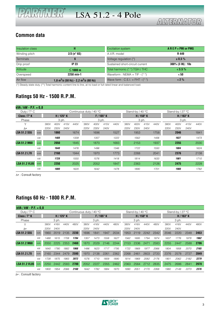#### **Common data**

| Insulation class |                                                               | <b>Excitation system</b>          | $AREP + PMI$ or PMG  |
|------------------|---------------------------------------------------------------|-----------------------------------|----------------------|
| Winding pitch    | $2/3$ (n° 6S)                                                 | A.V.R. model                      | R 449                |
| Terminals        |                                                               | Voltage regulation (*)            | $\pm$ 0.5%           |
| Drip proof       | <b>IP 23</b>                                                  | Sustained short-circuit current   | $300\%$ (3 IN) : 10s |
| Altitude         | $\leq$ 1000 m                                                 | Total harmonic (* *) TGH / THC    | $< 3.5 \%$           |
| Overspeed        | 2250 min-1                                                    | Waveform : NEMA = TIF - $(**)$    | < 50                 |
| Air flow         | 1,8 m <sup>3</sup> /s (50 Hz) - 2,2 m <sup>3</sup> /s (60 Hz) | Wave form : C.E.I. = FHT - $(**)$ | $< 2\%$              |

(\*) Steady state duty. (\*\*) Total harmonic content line to line, at no load or full rated linear and balanced load.

### **Ratings 50 Hz - 1500 R.P.M.**

| $kVA / kW - P.F. = 0.8$ |     |      |      |                 |      |                         |       |                 |      |      |                           |      |      |      |                  |      |      |
|-------------------------|-----|------|------|-----------------|------|-------------------------|-------|-----------------|------|------|---------------------------|------|------|------|------------------|------|------|
| Duty / $T^{\circ}$ C    |     |      |      |                 |      | Continuous duty / 40 °C |       |                 |      |      | Stand-by / 40 $\degree$ C |      |      |      | Stand-by / 27 °C |      |      |
| Class / $T^{\circ}$ K   |     |      |      | $H/125^\circ K$ |      |                         |       | $F/105^\circ K$ |      |      | H / 150° K                |      |      |      | H / 163° K       |      |      |
| Phase                   |     |      |      | $3$ ph.         |      |                         | 3 ph. |                 |      |      | 3 ph.                     |      |      |      | $3$ ph.          |      |      |
| Υ                       |     | 380V | 400V | 415V            | 440V | 380V                    | 400V  | 415V            | 440V | 380V | 400V                      | 415V | 440V | 380V | 400V             | 415V | 440V |
| $\Lambda^*$             |     | 220V | 230V | 240V            |      | <b>220V</b>             | 230V  | 240V            |      | 220V | 230V                      | 240V |      | 220V | 230V             | 240V |      |
| <b>LSA 51.2 S55</b>     | kVA |      | 1860 |                 | 1674 |                         | 1696  |                 | 1527 |      | 1953                      |      | 1758 |      | 2046             |      | 1841 |
|                         | kW  |      | 1488 |                 | 1339 |                         | 1357  |                 | 1222 |      | 1562                      |      | 1406 |      | 1637             |      | 1473 |
| <b>LSA 51.2 M60</b>     | kVA |      | 2050 |                 | 1845 |                         | 1870  |                 | 1683 |      | 2153                      |      | 1937 |      | 2255             |      | 2030 |
|                         | kW  |      | 1640 |                 | 1476 |                         | 1496  |                 | 1346 |      | 1722                      |      | 1550 |      | 1804             |      | 1624 |
| <b>LSA 51.2 L70</b>     | kVA |      | 2160 |                 | 1944 |                         | 1970  |                 | 1773 |      | 2268                      |      | 2041 |      | 2376             |      | 2138 |
|                         | kW  |      | 1728 |                 | 1555 |                         | 1576  |                 | 1418 |      | 1814                      |      | 1633 |      | 1901             |      | 1710 |
| <b>LSA 51.2 VL85</b>    | kVA |      | 2250 |                 | 2025 |                         | 2052  |                 | 1847 |      | 2363                      |      | 2126 |      | 2475             |      | 2228 |
|                         | kW  |      | 1800 |                 | 1620 |                         | 1642  |                 | 1478 |      | 1890                      |      | 1701 |      | 1980             |      | 1782 |

 $\Delta*$  : Consult factory

### **Ratings 60 Hz - 1800 R.P.M.**

| $kVA / kW - P.F. = 0.8$ |            |      |         |                 |      |                         |       |                 |      |      |                  |                 |      |      |                  |      |      |
|-------------------------|------------|------|---------|-----------------|------|-------------------------|-------|-----------------|------|------|------------------|-----------------|------|------|------------------|------|------|
| Duty / $T^{\circ}$ C    |            |      |         |                 |      | Continuous duty / 40 °C |       |                 |      |      | Stand-by / 40 °C |                 |      |      | Stand-by / 27 °C |      |      |
| Class / $T^{\circ}$ K   |            |      |         | $H/125^\circ K$ |      |                         |       | $F/105^\circ$ K |      |      |                  | $H/150^\circ$ K |      |      | H / 163° K       |      |      |
| Phase                   |            |      | $3$ ph. |                 |      |                         | 3 ph. |                 |      |      | 3 ph.            |                 |      |      | 3 ph.            |      |      |
|                         |            | 380V | 416V    | 440V            | 480V | 380V                    | 416V  | 440V            | 480V | 380V | 416V             | 440V            | 480V | 380V | 416V             | 440V | 480V |
| $\Lambda^*$             |            | 220V | 240V    |                 |      | 220V                    | 240V  |                 |      | 220V | 240V             |                 |      | 220V | 240V             |      |      |
| <b>LSA 51.2 S55</b>     | kVA        | 1860 | 2019    | 2135            | 2230 | 1696                    | 1841  | 1947            | 2034 | 1953 | 2119             | 2242            | 2342 | 2046 | 2220             | 2348 | 2453 |
|                         | kW         | 1488 | 1615    | 1708            | 1784 | 1357                    | 1473  | 1558            | 1627 | 1562 | 1695             | 1794            | 1874 | 1637 | 1776             | 1878 | 1962 |
| <b>LSA 51.2 M60</b>     | <b>kVA</b> | 2050 | 2225    | 2353            | 2460 | 1870                    | 2029  | 2146            | 2244 | 2153 | 2336             | 2471            | 2583 | 2255 | 2447             | 2588 | 2706 |
|                         | kW         | 1640 | 1780    | 1882            | 1968 | 1496                    | 1623  | 1717            | 1795 | 1722 | 1869             | 1977            | 2066 | 1804 | 1958             | 2070 | 2165 |
| <b>LSA 51.2 L70</b>     | kVA        | 2160 | 2344    | 2479            | 2590 | 1970                    | 2138  | 2261            | 2362 | 2268 | 2461             | 2603            | 2720 | 2376 | 2578             | 2727 | 2849 |
|                         | kW         | 1728 | 1875    | 1983            | 2072 | 1576                    | 1710  | 1809            | 1890 | 1814 | 1969             | 2082            | 2176 | 1901 | 2062             | 2182 | 2279 |
| <b>LSA 51.2 VL85</b>    | <b>kVA</b> | 2250 | 2442    | 2583            | 2700 | 2052                    | 2227  | 2355            | 2462 | 2363 | 2564             | 2712            | 2835 | 2475 | 2686             | 2841 | 2970 |
|                         | kW         | 1800 | 1954    | 2066            | 2160 | 1642                    | 1782  | 1884            | 1970 | 1890 | 2051             | 2170            | 2268 | 1980 | 2149             | 2273 | 2376 |

 $\Delta*$  : Consult factory

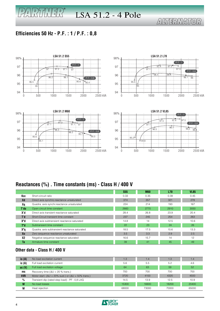# LSA 51.2 - 4 Pole

# ALTERMATOR

### **Efficiencies 50 Hz - P.F. : 1 / P.F. : 0,8**

PARTHER<sup>®</sup>



### **Reactances (%) . Time constants (ms) - Class H / 400 V**

|                |                                               | <b>S55</b> | <b>M60</b> | <b>L70</b> | <b>VL85</b> |
|----------------|-----------------------------------------------|------------|------------|------------|-------------|
| Kcc            | Short-circuit ratio                           | 0.33       | 0.35       | 0.39       | 0.45        |
| <b>Xd</b>      | Direct axis synchro.reactance unsaturated     | 374        | 357        | 321        | 278         |
| Xq             | Quadra. axis synchr.reactance unsaturated     | 224        | 214        | 193        | 167         |
| T'do:          | Open circuit time constant                    | 2660       | 2770       | 2910       | 3050        |
| h'X            | Direct axis transient reactance saturated     | 28.4       | 26.8       | 23.9       | 20.4        |
| T <sub>d</sub> | Short-Circuit transient time constant         | 237        | 245        | 254        | 263         |
| X"d            | Direct axis subtransient reactance saturated  | 14.8       | 14         | 12.5       | 10.6        |
| T"d            | Subtransient time constant                    | 22         | 23         | 24         | 26          |
| X"a            | Quadra, axis subtransient reactance saturated | 18.5       | 17.5       | 15.6       | 13.3        |
| Xo             | Zero sequence reactance unsaturated           | 3.5        | 3.3        | 2.9        | 2.5         |
| X2             | Negative sequence reactance saturated         | 16.6       | 15.7       | 14         | 12          |
| Ta             | Armature time constant                        | 39         | 41         | 45         | 49          |

#### **Other data - Class H / 400 V**

| io $(A)$          | No load excitation current                                             | 1.3   | 1.4   | 1.3   | 1.4             |
|-------------------|------------------------------------------------------------------------|-------|-------|-------|-----------------|
| ic(A)             | Full load excitation current                                           | 5.6   | 5.5   | 5.2   | 4.6             |
| uc <sub>(V)</sub> | Full load excitation voltage                                           | 64    | 63    | 59    | 52 <sub>5</sub> |
| ms                | Recovery time ( $\Delta U = 20$ % trans.)                              | 700   | 700   | 700   | 700             |
| <b>kVA</b>        | Motor start. ( $\Delta U = 20\%$ sust.) or ( $\Delta U = 50\%$ trans.) | 3720  | 4100  | 4320  | 4500            |
| $\%$              | Transient dip (rated step load) - PF : 0.8 LAG                         | 14.5  | 13.9  | 12.5  | 10.9            |
| W                 | No load losses                                                         | 15300 | 16600 | 18200 | 20400           |
| W                 | Heat rejection                                                         | 68000 | 73000 | 70000 | 65000           |

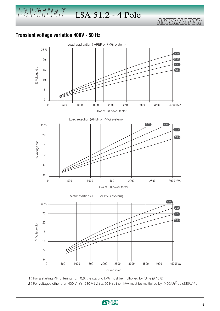### **Transient voltage variation 400V - 50 Hz**

 $\mathbb{P}(\mathbb{P}(\mathbb{R}^n))$ 



1 ) For a starting P.F. differing from 0,6, the starting kVA must be multiplied by (Sine Ø / 0,8)

2) For voltages other than 400 V (Y), 230 V ( $\triangle$ ) at 50 Hz, then kVA must be multiplied by  $(400/U)^2$  ou  $(230/U)^2$ .

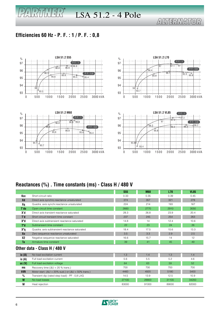# LSA 51.2 - 4 Pole

# ALTERMATOR

### **Efficiencies 60 Hz - P. F. : 1 / P. F. : 0,8**

 $\mathbb{P}(\sqrt{N})$ 



### **Reactances (%) . Time constants (ms) - Class H / 480 V**

|                   |                                               | <b>S55</b> | <b>M60</b> | <b>L70</b> | <b>VL85</b> |
|-------------------|-----------------------------------------------|------------|------------|------------|-------------|
| Kcc               | Short-circuit ratio                           | 0.33       | 0.35       | 0.39       | 0.45        |
| Xd                | Direct axis synchro.reactance unsaturated     | 374        | 357        | 321        | 278         |
| Xq                | Quadra. axis synchr.reactance unsaturated     | 224        | 214        | 193        | 167         |
| T'do              | Open circuit time constant                    | 2660       | 2770       | 2910       | 3050        |
| X'd               | Direct axis transient reactance saturated     | 28.3       | 26.8       | 23.9       | 20.4        |
| T'd               | Short circuit transient time constant         | 237        | 245        | 254        | 263         |
| X"d               | Direct axis subtransient reactance saturated  | 14.8       | 14         | 12.4       | 10.6        |
| T"d               | Subtransient time constant                    | 22         | 23         | 24         | 26          |
| X"a               | Quadra, axis subtransient reactance saturated | 18.4       | 17.5       | 15.6       | 13.3        |
| X <sub>0</sub>    | Zero sequence reactance unsaturated           | 3.5        | 3.3        | 2.9        | 2.5         |
| <b>X2</b>         | Negative sequence reactance saturated         | 16.6       | 15.7       | 14         | 12          |
| <b>Ta</b>         | Armature time constant                        | 39         | 41         | 45         | 49          |
|                   | Other data - Class H / 480 V                  |            |            |            |             |
| io $(A)$          | No load excitation current                    | 1.3        | 1.4        | 1.3        | 1.4         |
| ic (A)            | Full load excitation current                  | 5.6        | 5.5        | 5.2        | 4.6         |
| uc <sub>(V)</sub> | Full load excitation voltage                  | 64         | 63         | 59         | 52          |

| ic (A)            | Full load excitation current                                           | 5.6   | 5.5   | 5.2   | 4.6   |
|-------------------|------------------------------------------------------------------------|-------|-------|-------|-------|
| uc <sub>(V)</sub> | Full load excitation voltage                                           | 64    | 63    | 59    | 52    |
| ms                | Recovery time ( $\Delta U = 20$ % trans.)                              | 700   | 700   | 700   | 700   |
| <b>kVA</b>        | Motor start. ( $\Delta U = 20\%$ sust.) or ( $\Delta U = 50\%$ trans.) | 4460  | 4920  | 5180  | 5400  |
| $\%$              | Transient dip (rated step load) - PF : 0,8 LAG                         | 14.5  | 13.9  | 12.5  | 10.9  |
| W                 | No load losses                                                         | 27100 | 28800 | 31100 | 34200 |
| W                 | Heat rejection                                                         | 83000 | 91000 | 89000 | 82000 |

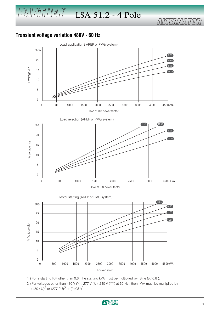#### **Transient voltage variation 480V - 60 Hz**

 $\sqrt{2\sqrt{2}}$ 



1 ) For a starting P.F. other than 0,6 , the starting kVA must be multiplied by (Sine Ø / 0,8 ).

2) For voltages other than 480 V (Y), 277 V ( $\Delta$ ), 240 V (YY) at 60 Hz, then, kVA must be multiplied by  $(480 / U)^2$  or  $(277 / U)^2$  or  $(240 / U)^2$ .

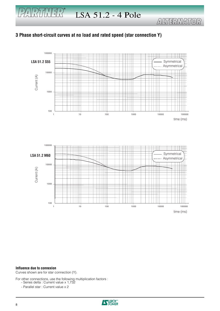#### **3 Phase short-circuit curves at no load and rated speed (star connection Y)**



time (ms)

#### **Influence due to connexion**

Curves shown are for star connection (Y).

For other connections, use the following multiplication factors :

- Series delta : Current value x 1,732
	- Parallel star : Current value x 2

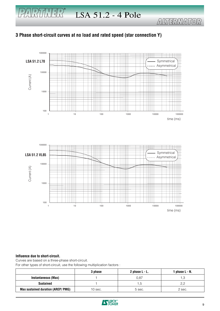#### **3 Phase short-circuit curves at no load and rated speed (star connection Y)**



#### **Influence due to short-circuit.**

Curves are based on a three-phase short-circuit.

For other types of short-circuit, use the following multiplication factors :

|                                           | 3 phase   | 2 phase $L - L$ . | 1 phase L - N. |
|-------------------------------------------|-----------|-------------------|----------------|
| Instantaneous (Max)                       |           | 0.87              | ڻ.             |
| <b>Sustained</b>                          |           | c.                | 2,2            |
| <b>Max sustained duration (AREP/ PMG)</b> | $10$ sec. | 5 sec.            | 2 sec.         |

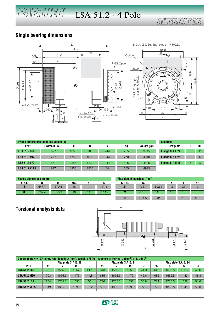### **Single bearing dimensions**

PARTMER®



|                      | Frame dimensions (mm) and weight (kg) |      |      |      |     |             | <b>Coupling</b>   |   |          |
|----------------------|---------------------------------------|------|------|------|-----|-------------|-------------------|---|----------|
| <b>TYPE</b>          | . without PMG                         | LB   | B    |      | Xg  | Weight (kg) | <b>Flex plate</b> |   | 00       |
| <b>LSA 51.2 S55</b>  | 1677                                  | 1655 | 900  | 744  | 735 | 3745        | Flange S.A.E 24   |   | X        |
| <b>LSA 51.2 M60</b>  | 1777                                  | 1755 | 1000 | 844  | 770 | 4040        | Flange S.A.E 21   |   | $\times$ |
| <b>LSA 51.2 L70</b>  | 1877                                  | 1855 | 1100 | 944  | 825 | 4445        | Flange S.A.E 18   | Χ | X        |
| <b>LSA 51.2 VL85</b> | 1977                                  | 1955 | 1200 | 1044 | 885 | 4995        |                   |   |          |

| <b>XBG</b><br>м<br>М<br>BX<br><b>S.A.E.</b><br><b>S.A.E.</b>                             | AH |
|------------------------------------------------------------------------------------------|----|
|                                                                                          |    |
| 24<br>$11^{\circ}15'$<br>647.7<br>733.4<br>692.<br>21<br>679.5<br>16<br>12<br>14         |    |
| 00<br>21<br>673.1<br>12<br>787.4<br>$11^{\circ} 15'$<br>641.3<br>18<br>850.9<br>16<br>14 |    |

| Flex plate dimensions (mm) |       |       |    |    |      |
|----------------------------|-------|-------|----|----|------|
| <b>S.A.E.</b>              | BX    |       |    |    | АН   |
| 24                         | 733.4 | 692.1 | 12 | 21 |      |
| 21                         | 673.1 | 641.3 | 12 | 18 |      |
|                            | 571.5 | 542.9 |    | 18 | 15.8 |

**Torsional analysis data**



| Centre of gravity : Xr (mm), rotor length Lr (mm), Weight : M (kg), Moment of inertia : J (kgm <sup>2</sup> ) : (4J = MD <sup>2</sup> ) |                      |        |      |                      |     |        |      |                      |     |        |      |      |
|-----------------------------------------------------------------------------------------------------------------------------------------|----------------------|--------|------|----------------------|-----|--------|------|----------------------|-----|--------|------|------|
|                                                                                                                                         | Flex plate S.A.E. 18 |        |      | Flex plate S.A.E. 21 |     |        |      | Flex plate S.A.E. 24 |     |        |      |      |
| <b>TYPE</b>                                                                                                                             | Xr                   | Lr     | M    |                      | Xr  | Lr     | M    |                      | Хr  | Lr     | M    |      |
| <b>LSA 51.2 S55</b>                                                                                                                     | 661                  | 1555.5 | 1357 | 41.1                 | 643 | 1555.5 | 1359 | 41.9                 | 640 | 1555.5 | 1365 | 42.6 |
| <b>LSA 51.2 M60</b>                                                                                                                     | 703                  | 1655.5 | 1475 | 44.8                 | 685 | 1655.5 | 1479 | 45.6                 | 682 | 1655.5 | 1483 | 46.3 |
| <b>LSA 51.2 L70</b>                                                                                                                     | 754                  | 1755.5 | 1630 | 50                   | 736 | 1755.5 | 1632 | 50.8                 | 734 | 1755.5 | 1638 | 51.6 |
| <b>LSA 51.2 VL85</b>                                                                                                                    | 819                  | 1855.5 | 1833 | 57.2                 | 801 | 1855.5 | 1835 | 58                   | 799 | 1855.5 | 1841 | 58.8 |
|                                                                                                                                         |                      |        |      |                      |     |        |      |                      |     |        |      |      |

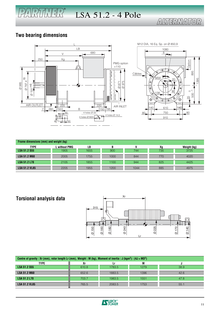# ALTERMATOR

#### **Two bearing dimensions**

 $P/4$   $R$   $T$   $T$   $T$   $T$   $R$ 





| Frame dimensions (mm) and weight (kg) |                      |      |      |      |     |             |  |
|---------------------------------------|----------------------|------|------|------|-----|-------------|--|
| <b>TYPE</b>                           | <b>L</b> without PMG | LВ   | В    |      | Хg  | Weight (kg) |  |
| <b>LSA 51.2 S55</b>                   | 1905                 | 1655 | 900  | 744  | 735 | 3725        |  |
| <b>LSA 51.2 M60</b>                   | 2005                 | 1755 | 1000 | 844  | 770 | 4020        |  |
| <b>LSA 51.2 L70</b>                   | 2105                 | 1855 | 1100 | 944  | 825 | 4425        |  |
| <b>LSA 51.2 VL85</b>                  | 2205                 | 1955 | 1200 | 1044 | 885 | 4975        |  |

### **Torsional analysis data**



| Centre of gravity : Xr (mm), rotor length Lr (mm), Weight : M (kg), Moment of inertia : J (kgm <sup>2</sup> ) : (4J = MD <sup>2</sup> ) |       |        |      |      |  |  |  |
|-----------------------------------------------------------------------------------------------------------------------------------------|-------|--------|------|------|--|--|--|
| TYPE                                                                                                                                    |       |        |      |      |  |  |  |
| <b>LSA 51.2 S55</b>                                                                                                                     | 610.8 | 1783.5 | 1279 | 38.9 |  |  |  |
| <b>LSA 51.2 M60</b>                                                                                                                     | 652.6 | 1883.5 | 1396 | 42.6 |  |  |  |
| <b>LSA 51.2 L70</b>                                                                                                                     | 703.7 | 1983.5 | 1551 | 47.8 |  |  |  |
| <b>LSA 51.2 VL85</b>                                                                                                                    | 765.5 | 2083.5 | 1753 | 55.1 |  |  |  |